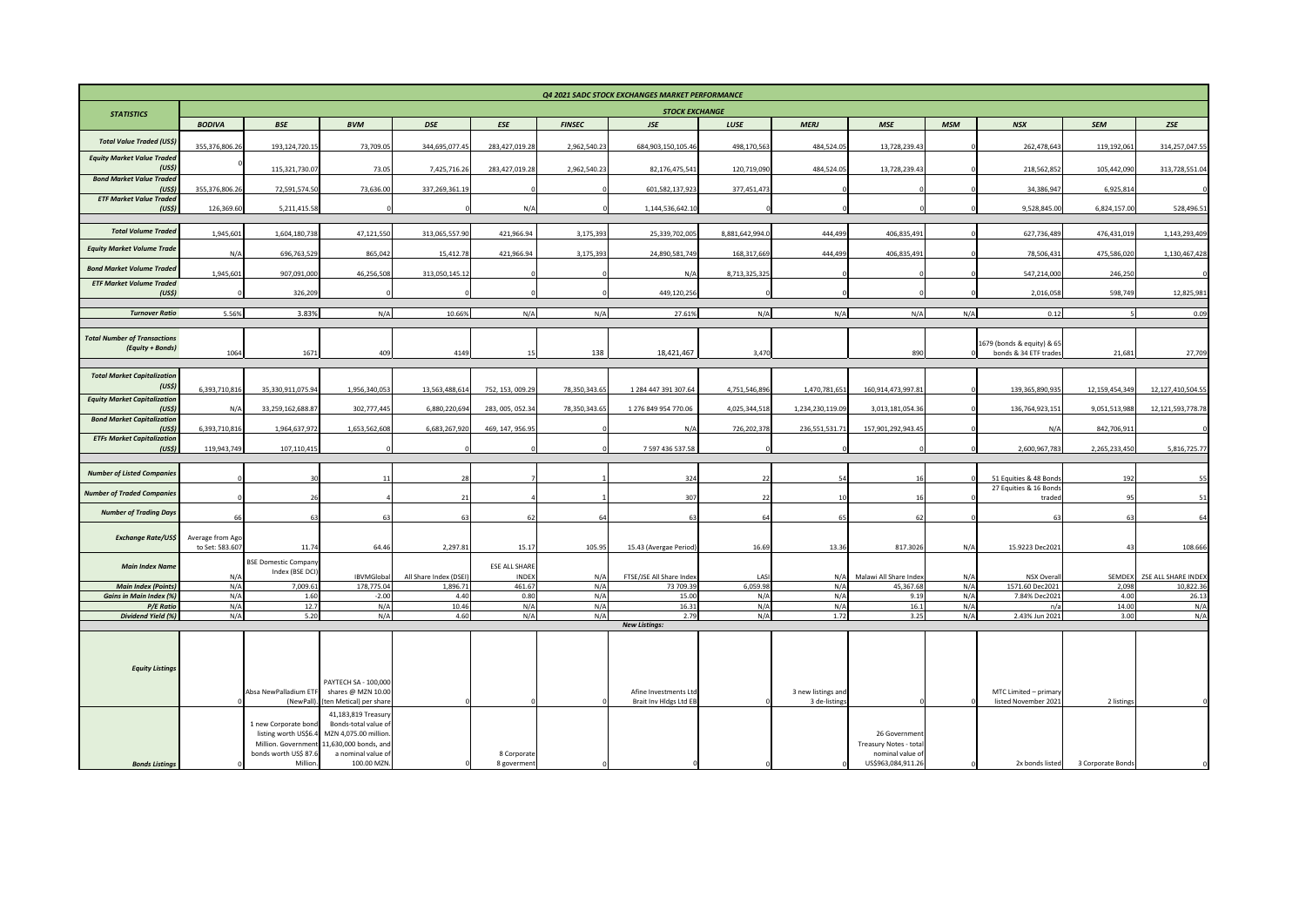| Q4 2021 SADC STOCK EXCHANGES MARKET PERFORMANCE              |                                     |                                              |                                                |                       |                               |               |                              |                 |                    |                                           |            |                                                     |                   |                     |  |
|--------------------------------------------------------------|-------------------------------------|----------------------------------------------|------------------------------------------------|-----------------------|-------------------------------|---------------|------------------------------|-----------------|--------------------|-------------------------------------------|------------|-----------------------------------------------------|-------------------|---------------------|--|
| <b>STATISTICS</b>                                            |                                     | <b>STOCK EXCHANGE</b>                        |                                                |                       |                               |               |                              |                 |                    |                                           |            |                                                     |                   |                     |  |
|                                                              | <b>BODIVA</b>                       | <b>BSE</b>                                   | <b>BVM</b>                                     | <b>DSE</b>            | <b>ESE</b>                    | <b>FINSEC</b> | <b>JSE</b>                   | LUSE            | <b>MERJ</b>        | <b>MSE</b>                                | <b>MSM</b> | <b>NSX</b>                                          | <b>SEM</b>        | ZSE                 |  |
| <b>Total Value Traded (US\$)</b>                             | 355,376,806.2                       | 193,124,720.1                                | 73,709.05                                      | 344,695,077.4         | 283,427,019.28                | 2,962,540.23  | 684.903.150.105.46           | 498,170,563     | 484,524.05         | 13,728,239.43                             |            | 262,478,643                                         | 119,192,061       | 314,257,047.55      |  |
| <b>Equity Market Value Traded</b>                            |                                     |                                              |                                                |                       |                               |               |                              |                 |                    |                                           |            |                                                     |                   |                     |  |
| (US <sub>5</sub> )<br><b>Bond Market Value Traded</b>        |                                     | 115.321.730.07                               | 73.05                                          | 7.425.716.26          | 283.427.019.28                | 2.962.540.23  | 82.176.475.541               | 120.719.090     | 484.524.05         | 13.728.239.43                             |            | 218.562.852                                         | 105.442.090       | 313,728,551.04      |  |
| (US <sub>5</sub> )<br><b>ETF Market Value Traded</b>         | 355,376,806.2                       | 72,591,574.50                                | 73,636.00                                      | 337,269,361.19        |                               |               | 601,582,137,923              | 377,451,473     |                    |                                           |            | 34,386,947                                          | 6,925,814         |                     |  |
| (USS)                                                        | 126,369.60                          | 5,211,415.58                                 |                                                |                       | N/A                           |               | 1,144,536,642.10             |                 |                    |                                           |            | 9,528,845.00                                        | 6,824,157.00      | 528,496.51          |  |
| <b>Total Volume Traded</b>                                   | 1,945,601                           | 1,604,180,738                                | 47,121,550                                     | 313.065.557.90        | 421.966.94                    | 3.175.393     | 25.339.702.005               | 8.881.642.994.  | 444,499            | 406.835.491                               |            | 627.736.489                                         | 476.431.019       | 1,143,293,409       |  |
| <b>Equity Market Volume Trade</b>                            | N/A                                 | 696,763,52                                   | 865,042                                        | 15,412.78             | 421,966.94                    | 3,175,393     | 24,890,581,749               | 168,317,66      | 444,49             | 406,835,491                               |            | 78,506,43                                           | 475,586,020       | 1,130,467,428       |  |
| <b>Bond Market Volume Traded</b>                             |                                     |                                              |                                                |                       |                               |               |                              |                 |                    |                                           |            |                                                     |                   |                     |  |
| <b>ETF Market Volume Traded</b>                              | 1,945,60                            | 907,091,000                                  | 46,256,508                                     | 313,050,145.12        |                               |               | N/A                          | 8,713,325,325   |                    |                                           |            | 547,214,000                                         | 246,250           |                     |  |
| (USS)                                                        |                                     | 326,209                                      |                                                |                       |                               |               | 449,120,256                  |                 |                    |                                           |            | 2,016,058                                           | 598,749           | 12,825,981          |  |
| <b>Turnover Ratio</b>                                        | 5.56%                               | 3.83%                                        | N/A                                            | 10.66%                | N/A                           | N/A           | 27.61%                       | N/A             | N/A                | N/A                                       | N/A        | 0.12                                                |                   | 0.09                |  |
| <b>Total Number of Transactions</b>                          |                                     |                                              |                                                |                       |                               |               |                              |                 |                    |                                           |            |                                                     |                   |                     |  |
| (Equity + Bonds)                                             | 1064                                | 1671                                         | 409                                            | 4149                  | 15                            | 138           | 18.421.467                   | 3.470           |                    | 890                                       |            | 1679 (bonds & equity) & 65<br>bonds & 34 ETF trades | 21.681            | 27,709              |  |
| <b>Total Market Capitalization</b>                           |                                     |                                              |                                                |                       |                               |               |                              |                 |                    |                                           |            |                                                     |                   |                     |  |
| (US <sub>5</sub> )                                           | 6,393,710,816                       | 35,330,911,075.94                            | 1,956,340,053                                  | 13,563,488,614        | 752, 153, 009.29              | 78,350,343.65 | 1 284 447 391 307.64         | 4,751,546,896   | 1,470,781,651      | 160,914,473,997.81                        |            | 139,365,890,935                                     | 12,159,454,349    | 12,127,410,504.55   |  |
| <b>Equity Market Capitalization</b><br>(US <sub>5</sub> )    | N/A                                 | 33,259,162,688.87                            | 302,777,445                                    | 6,880,220,694         | 283, 005, 052.34              | 78,350,343.65 | 1 276 849 954 770.06         | 4,025,344,518   | 1,234,230,119.09   | 3,013,181,054.36                          |            | 136,764,923,151                                     | 9,051,513,988     | 12,121,593,778.78   |  |
| <b>Bond Market Capitalization</b>                            |                                     |                                              |                                                |                       |                               |               |                              |                 |                    |                                           |            |                                                     |                   |                     |  |
| (US <sub>5</sub> )<br><b>ETFs Market Capitalization</b>      | 6,393,710,816                       | 1,964,637,972                                | 1,653,562,608                                  | 6,683,267,920         | 469, 147, 956.95              |               | N/A                          | 726,202,378     | 236,551,531.71     | 157,901,292,943.45                        |            | N/A                                                 | 842,706,911       |                     |  |
| (US <sub>5</sub> )                                           | 119,943,749                         | 107,110,415                                  |                                                |                       |                               |               | 7 597 436 537.58             |                 |                    |                                           |            | 2,600,967,783                                       | 2,265,233,450     | 5,816,725.77        |  |
| <b>Number of Listed Companies</b>                            |                                     |                                              |                                                |                       |                               |               | 324                          |                 | 5/                 |                                           |            | 51 Equities & 48 Bond                               | 192               | 55.                 |  |
| <b>Number of Traded Companies</b>                            |                                     |                                              |                                                |                       |                               |               |                              |                 |                    |                                           |            | 27 Equities & 16 Bond                               |                   |                     |  |
| <b>Number of Trading Days</b>                                |                                     |                                              |                                                | $\mathcal{P}$         |                               |               | 307                          | 22              | 10                 |                                           |            | traded                                              | 95                | 51                  |  |
|                                                              |                                     |                                              | 63                                             | 63                    | 62                            | 64            | 63                           | 64              | 65                 | 62                                        |            | -63                                                 | 63                | 64                  |  |
| <b>Exchange Rate/US\$</b>                                    | Average from Ago<br>to Set: 583.607 | 11.74                                        | 64.46                                          | 2,297.81              | 15.17                         | 105.95        | 15.43 (Avergae Period        | 16.69           | 13.36              | 817.3026                                  | N/A        | 15.9223 Dec202:                                     | 43                | 108.666             |  |
|                                                              |                                     | <b>BSE Domestic Company</b>                  |                                                |                       |                               |               |                              |                 |                    |                                           |            |                                                     |                   |                     |  |
| <b>Main Index Name</b>                                       | N/A                                 | Index (BSE DCI                               | IBVMGlobal                                     | All Share Index (DSEI | <b>ESE ALL SHARE</b><br>INDEX | N/A           | FTSE/JSE All Share Index     | LASI            | N/A                | Malawi All Share Inder                    | N/A        | <b>NSX Overal</b>                                   | SEMDEX            | ZSE ALL SHARE INDEX |  |
| <b>Main Index (Points)</b><br><b>Gains in Main Index (%)</b> | N/A<br>N/A                          | 7,009.6<br>1.60                              | 178,775.04<br>$-2.00$                          | 1,896.71<br>4.40      | 461.67<br>0.80                | N/A<br>N/A    | 73 709.39<br>15.00           | 6,059.98<br>N/A | N/A<br>N/A         | 45,367.68<br>9.19                         | N/A<br>N/A | 1571.60 Dec2021<br>7.84% Dec2021                    | 2,098<br>4.00     | 10,822.36<br>26.13  |  |
| <b>P/E Ratio</b>                                             | N/A                                 | 12.7                                         | N/A                                            | 10.46                 | N/A                           | N/A           | 16.31                        | N/A             | N/A                | 16.1                                      | N/A        | n/a                                                 | 14.00             | N/A                 |  |
| Dividend Yield (%)                                           | N/A                                 | 5.20                                         | N/A                                            | 4.60                  | N/A                           | N/A           | 2.79<br><b>New Listings:</b> | N/A             | 1.72               | 3.25                                      | N/A        | 2.43% Jun 2021                                      | 3.00              | N/A                 |  |
|                                                              |                                     |                                              |                                                |                       |                               |               |                              |                 |                    |                                           |            |                                                     |                   |                     |  |
|                                                              |                                     |                                              |                                                |                       |                               |               |                              |                 |                    |                                           |            |                                                     |                   |                     |  |
| <b>Equity Listings</b>                                       |                                     |                                              |                                                |                       |                               |               |                              |                 |                    |                                           |            |                                                     |                   |                     |  |
|                                                              |                                     |                                              | PAYTECH SA - 100,000                           |                       |                               |               |                              |                 |                    |                                           |            |                                                     |                   |                     |  |
|                                                              |                                     | Absa NewPalladium ETF                        | shares @ MZN 10.00                             |                       |                               |               | Afine Investments Ltd        |                 | 3 new listings and |                                           |            | MTC Limited - primar                                |                   |                     |  |
|                                                              |                                     | (NewPall).                                   | (ten Metical) per share<br>41,183,819 Treasury |                       |                               |               | Brait Inv Hldgs Ltd EB       |                 | 3 de-listings      |                                           |            | listed November 2021                                | 2 listings        |                     |  |
|                                                              |                                     | 1 new Corporate bond                         | Bonds-total value of                           |                       |                               |               |                              |                 |                    |                                           |            |                                                     |                   |                     |  |
|                                                              |                                     | listing worth US\$6.4                        | MZN 4,075.00 million                           |                       |                               |               |                              |                 |                    | 26 Governmen                              |            |                                                     |                   |                     |  |
|                                                              |                                     | Million. Government<br>bonds worth US\$ 87.6 | 11,630,000 bonds, and<br>a nominal value of    |                       | 8 Corporate                   |               |                              |                 |                    | Treasury Notes - tota<br>nominal value of |            |                                                     |                   |                     |  |
| <b>Bonds Listings</b>                                        |                                     | Million                                      | 100.00 MZN.                                    |                       | 8 goverment                   |               |                              |                 |                    | US\$963,084,911.26                        |            | 2x bonds listed                                     | 3 Corporate Bonds |                     |  |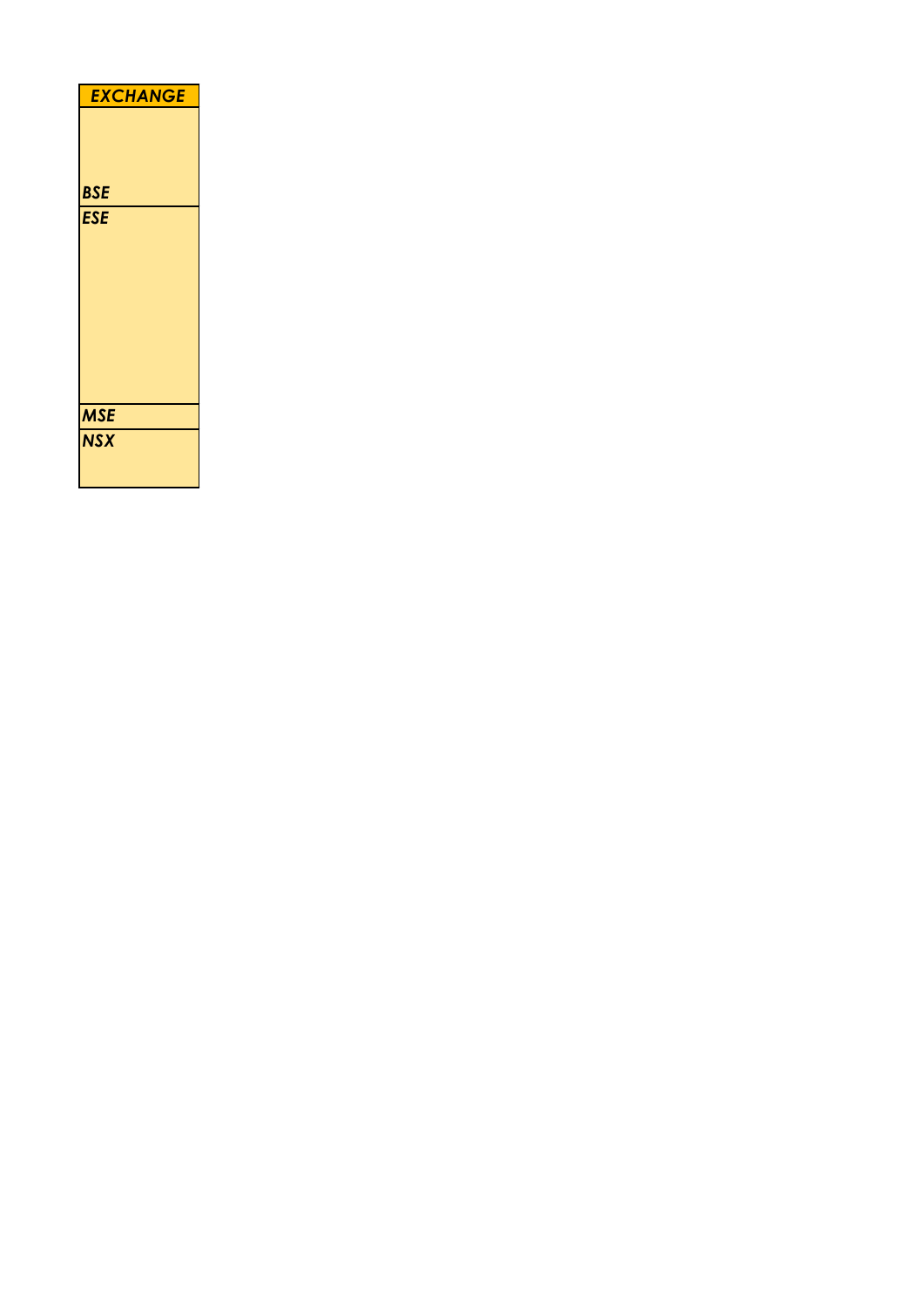| <b>EXCHANGE</b> |
|-----------------|
| <b>BSE</b>      |
| <b>ESE</b>      |
|                 |
|                 |
|                 |
|                 |
|                 |
| <b>MSE</b>      |
| <b>NSX</b>      |